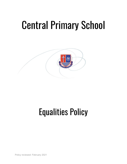# Central Primary School



# Equalities Policy

Policy reviewed: February 2021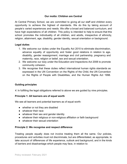# **Our motto: Children are Central**

At Central Primary School, we are committed to giving all our staff and children every opportunity to achieve the highest of standards. We do this by taking account of people's varied experiences and needs. We offer a broad and balanced curriculum, and have high expectations of all children. This policy is intended to help to ensure that this school promotes the individuality of all children, and adults, irrespective of ethnicity, religion, attainment, age, disability, gender identity, sexual orientation or background.

#### **Legal duties**

- 1. We welcome our duties under the Equality Act 2010 to eliminate discrimination, advance equality of opportunity and foster good relations in relation to age, disability, gender reassignment, marriage and civil partnership, pregnancy and maternity, race, religion or belief, sex and sexual orientation.
- 2. We welcome our duty under the Education and Inspections Act 2006 to promote community cohesion.
- 3. We recognise that these duties reflect international human rights standards as expressed in the UN Convention on the Rights of the Child, the UN Convention on the Rights of People with Disabilities, and the Human Rights Act 1998.

#### **Guiding principles**

*4.* In fulfilling the legal obligations referred to above we are guided by nine principles.

#### **Principle 1: All learners are of equal worth**

We see all learners and potential learners as of equal worth:

- whether or not they are disabled
- whatever their race
- whatever their sex and gender identity
- whatever their religious or non-religious affiliation or faith background
- whatever their sexual orientation

#### **Principle 2: We recognise and respect difference**

Treating people equally does not involve treating them all the same. Our policies, procedures and activities must not discriminate, but are differentiated, as appropriate, to take account of differences of life experience, outlook and background, and in the kinds of barriers and disadvantage which people may face, in relation to: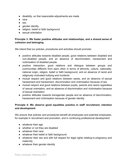- disability, so that reasonable adjustments are made
- race
- sex
- gender identity
- religion, belief or faith background
- sexual orientation

# **Principle 3: We foster positive attitudes and relationships, and a shared sense of cohesion and belonging**

We intend that our policies, procedures and activities should promote:

- positive attitudes towards disabled people, good relations between disabled and non-disabled people, and an absence of discrimination, harassment and victimisation of disabled people
- positive interaction, good relations and dialogue between groups and communities different from each other in terms of ethnicity, culture, nationality, national origin, religion, belief or faith background, and an absence of racist and religiously motivated bullying and incidents
- mutual respect and good relations between sexes, and an absence of sexual harassment and harassment, discrimination and victimisation because of sex
- mutual respect and good relations between pupils, parents and carers regardless of sexual orientation, and an absence of discrimination and victimisation because of sexual orientation
- positive attitudes towards transgender people and an absence of discrimination, harassment and victimisation because of gender identity

# **Principle 4: We observe good equalities practice in staff recruitment, retention and development**

We ensure that policies and procedures benefit all employees and potential employees, for example in recruitment and promotion, and in continuing professional development:

- whatever their age
- whether or not they are disabled
- whatever their race
- whatever their belief or faith background
- whatever their sex and with full respect for legal rights relating to pregnancy and maternity
- whatever their gender identity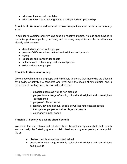- whatever their sexual orientation
- whatever their status with regards to marriage and civil partnership

# **Principle 5: We aim to reduce and remove inequalities and barriers that already exist**

In addition to avoiding or minimising possible negative impacts, we take opportunities to maximise positive impacts by reducing and removing inequalities and barriers that may already exist between:

- disabled and non-disabled people
- people of different ethnic, cultural and religious backgrounds
- sexes
- cisgender and transgender people
- heterosexual, lesbian, gay, and bisexual people
- older and younger people

#### **Principle 6: We consult widely**

We engage with a range of groups and individuals to ensure that those who are affected by a policy or activity are consulted and involved in the design of new policies, and in the review of existing ones. We consult and involve:

- o disabled people as well as non-disabled
- o people from a range of ethnic, cultural and religious and non-religious backgrounds
- o people of different sexes
- o lesbian, gay and bisexual people as well as heterosexual people
- o transgender people as well as cisgender people
- $\circ$  older and younger people

#### **Principle 7: Society as a whole should benefit**

We intend that our policies and activities should benefit society as a whole, both locally and nationally, by fostering greater social cohesion, and greater participation in public life of:

- disabled people as well as non-disabled
- people of a wide range of ethnic, cultural and religious and non-religious backgrounds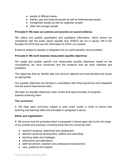- people of different sexes
- lesbian, gay and bisexual people as well as heterosexual people
- transgender people as well as cisgender people
- older and younger people

#### **Principle 8: We base our policies and practice on sound evidence**

We collect and publish quantitative and qualitative information, which shows our compliance with the public sector equality duty (PSED) set out in clause 149 of the Equality Act 2010 and use this information to inform our practice.

Evidence related to equality is integrated into our self-evaluation documentation.

#### **Principle 9: We work towards measurable equality objectives**

We create and publish specific and measurable equality objectives, based on the consultations we have conducted and the evidence that we have collected and published.

The objectives that we identify take into account national and local priorities and issues as appropriate.

Our equality objectives are devised in consultation with school governors and integrated into the school improvement plan.

We keep our equality objectives under review and report annually on progress towards achieving them.

#### **The curriculum**

5. We keep each curriculum subject or area under review in order to ensure that teaching and learning reflect the principles in paragraph 4 above.

#### **Ethos and organisation**

6. We ensure that the principles listed in paragraph 4 above apply also to the full range of our policies and practices, including those that are concerned with:

- learners' progress, attainment and assessment
- learners' personal development, welfare and well-being
- teaching styles and strategies
- admissions and attendance
- staff recruitment, retention and professional development
- care, guidance and support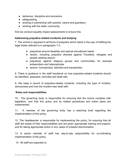- behaviour, discipline and exclusions
- safeguarding
- working in partnership with parents, carers and guardians
- working with the wider community.

And we conduct equality impact assessments to ensure this.

#### **Addressing prejudice-related incidents and bullying**

7. The school is opposed to all forms of prejudice which stand in the way of fulfilling the legal duties referred to in paragraphs 1-3:

- prejudices around disability and special educational needs
- racism, including prejudice directed against Travellers, refugees and people seeking asylum
- prejudices against religious groups and communities, for example antisemitism and Islamophobia
- sexism, homophobia, biphobia and transphobia.

8. There is guidance in the staff handbook on how prejudice-related incidents should be identified, assessed, recorded and dealt with.

9. We keep a record of prejudice-related incidents, including the type of incident, seriousness and how the incident was dealt with.

#### **Roles and responsibilities**

10. The governing body is responsible for ensuring that the school complies with legislation, and that this policy and its related procedures and action plans are implemented.

11. A member of the governing body has a watching brief regarding the implementation of this policy.

12. The headteacher is responsible for implementing the policy; for ensuring that all staff are aware of their responsibilities and are given appropriate training and support; and for taking appropriate action in any cases of unlawful discrimination.

13. A senior member of staff has day-to-day responsibility for co-ordinating implementation of the policy.

14. All staff are expected to: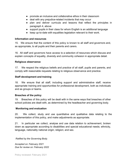- promote an inclusive and collaborative ethos in their classroom
- deal with any prejudice-related incidents that may occur
- plan and deliver curricula and lessons that reflect the principles in paragraph 4, above
- support pupils in their class for whom English is an additional language
- keep up-to-date with equalities legislation relevant to their work.

# **Information and resources**

15. We ensure that the content of this policy is known to all staff and governors and, as appropriate, to all pupils and their parents and carers.

16. All staff and governors have access to a selection of resources which discuss and explain concepts of equality, diversity and community cohesion in appropriate detail.

### **Religious observance**

17. We respect the religious beliefs and practice of all staff, pupils and parents, and comply with reasonable requests relating to religious observance and practice.

# **Staff development and training**

18. We ensure that all staff, including support and administrative staff, receive appropriate training and opportunities for professional development, both as individuals and as groups or teams.

# **Breaches of the policy**

19. Breaches of this policy will be dealt with in the same ways that breaches of other school policies are dealt with, as determined by the headteacher and governing body.

# **Monitoring and evaluation**

20. We collect, study and use quantitative and qualitative data relating to the implementation of this policy, and make adjustments as appropriate.

21. In particular we collect, analyse and use data relation to achievement, broken down as appropriate according to disabilities and special educational needs; ethnicity, language, nationality national origin; religion; and sex.

*Ratified by the Governing Body.*

.

*Accepted on: February 2021 Due for review on: February 2022*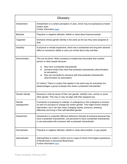| Glossary               |                                                                                                                                                                                                                                                                                                                                       |
|------------------------|---------------------------------------------------------------------------------------------------------------------------------------------------------------------------------------------------------------------------------------------------------------------------------------------------------------------------------------|
| Antisemitism           | Antisemitism is a certain perception of Jews, which may be expressed as hatred<br>toward Jews.<br>Further information here.                                                                                                                                                                                                           |
| Biphobia               | Prejudice or negative attitudes, beliefs or views about bisexual people                                                                                                                                                                                                                                                               |
| Cisgender              | Someone whose gender identity is the same as the sex they were assigned at<br>birth.                                                                                                                                                                                                                                                  |
| <b>Disability</b>      | A physical or mental impairment, which has a substantial and long-term adverse<br>effect on someone's ability to carry out normal day-to-day activities                                                                                                                                                                               |
| Discrimination         | This can be direct: When someone is treated less favourably than another<br>person or other people because:                                                                                                                                                                                                                           |
|                        | they have a protected characteristic<br>someone thinks they have that protected characteristic (discrimination<br>by perception)<br>they are connected to someone with that protected characteristic<br>$\bullet$<br>(discrimination by association)<br>Or indirect: There is a policy that applies in the same way for everybody but |
|                        | disadvantages a group of people who share a protected characteristic                                                                                                                                                                                                                                                                  |
| Gender identity        | Someone's internal sense of their own gender, whether man, woman or some<br>other gender. This may or may not align with their assigned sex.                                                                                                                                                                                          |
| Gender<br>reassignment | If someone is proposing to undergo, is undergoing or has undergone a process<br>(or part of a process) to change sex and/or gender. This might involve medical<br>intervention, but it can also mean changing names, pronouns, dressing<br>differently and living in their self-identified gender.                                    |
| Harassment             | Harassment is unwanted offensive behaviour directed at someone because they<br>have a protected characteristic, are perceived to have a protected characteristic<br>or are associated with someone with a protected characteristic.                                                                                                   |
| Homophobia             | Prejudice or negative attitudes, beliefs or views about lesbian, or gay people                                                                                                                                                                                                                                                        |
| Islamophobia           | Islamophobia is rooted in racism and is a type of racism that targets expressions<br>of Muslimness or perceived Muslimness.<br>Further information here.                                                                                                                                                                              |